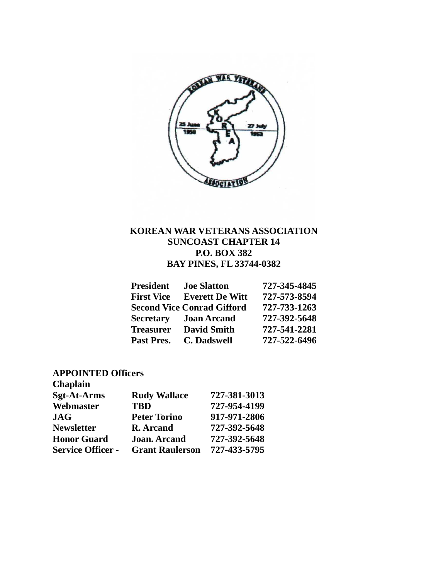

# **KOREAN WAR VETERANS ASSOCIATION SUNCOAST CHAPTER 14 P.O. BOX 382 BAY PINES, FL 33744-0382**

| <b>President</b>  | <b>Joe Slatton</b>                | 727-345-4845 |
|-------------------|-----------------------------------|--------------|
| <b>First Vice</b> | <b>Everett De Witt</b>            | 727-573-8594 |
|                   | <b>Second Vice Conrad Gifford</b> | 727-733-1263 |
| <b>Secretary</b>  | <b>Joan Arcand</b>                | 727-392-5648 |
| <b>Treasurer</b>  | <b>David Smith</b>                | 727-541-2281 |
| Past Pres.        | <b>C.</b> Dadswell                | 727-522-6496 |

# **APPOINTED Officers**

| Chaplain                 |                        |              |
|--------------------------|------------------------|--------------|
| <b>Sgt-At-Arms</b>       | <b>Rudy Wallace</b>    | 727-381-3013 |
| Webmaster                | <b>TBD</b>             | 727-954-4199 |
| <b>JAG</b>               | <b>Peter Torino</b>    | 917-971-2806 |
| <b>Newsletter</b>        | <b>R.</b> Arcand       | 727-392-5648 |
| <b>Honor Guard</b>       | <b>Joan. Arcand</b>    | 727-392-5648 |
| <b>Service Officer -</b> | <b>Grant Raulerson</b> | 727-433-5795 |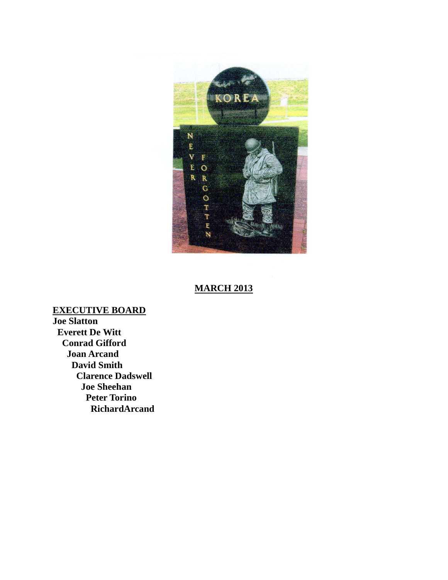

## **MARCH 2013**

**Joe Slatton EXECUTIVE BOARD Everett De Witt Conrad Gifford Joan Arcand David Smith Clarence Dadswell Joe Sheehan Peter Torino RichardArcand**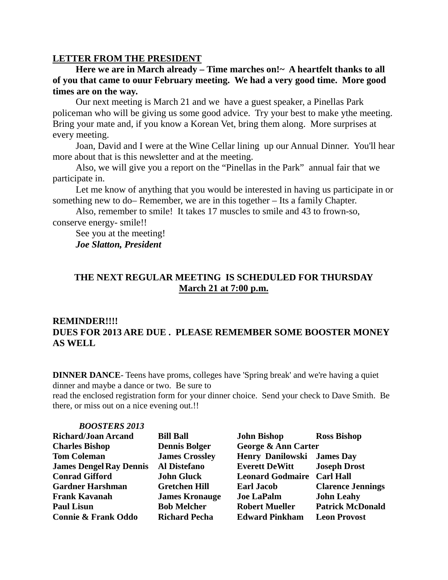### **LETTER FROM THE PRESIDENT**

**Here we are in March already – Time marches on!~ A heartfelt thanks to all of you that came to ouur February meeting. We had a very good time. More good times are on the way.**

Our next meeting is March 21 and we have a guest speaker, a Pinellas Park policeman who will be giving us some good advice. Try your best to make ythe meeting. Bring your mate and, if you know a Korean Vet, bring them along. More surprises at every meeting.

Joan, David and I were at the Wine Cellar lining up our Annual Dinner. You'll hear more about that is this newsletter and at the meeting.

Also, we will give you a report on the "Pinellas in the Park" annual fair that we participate in.

Let me know of anything that you would be interested in having us participate in or something new to do– Remember, we are in this together – Its a family Chapter.

Also, remember to smile! It takes 17 muscles to smile and 43 to frown-so, conserve energy- smile!!

See you at the meeting!

*Joe Slatton, President*

## **THE NEXT REGULAR MEETING IS SCHEDULED FOR THURSDAY March 21 at 7:00 p.m.**

## **REMINDER!!!! DUES FOR 2013 ARE DUE . PLEASE REMEMBER SOME BOOSTER MONEY AS WELL**

**DINNER DANCE**- Teens have proms, colleges have 'Spring break' and we're having a quiet dinner and maybe a dance or two. Be sure to

read the enclosed registration form for your dinner choice. Send your check to Dave Smith. Be there, or miss out on a nice evening out.!!

| <b>BOOSTERS 2013</b>           |                       |                                   |                          |
|--------------------------------|-----------------------|-----------------------------------|--------------------------|
| <b>Richard/Joan Arcand</b>     | <b>Bill Ball</b>      | <b>John Bishop</b>                | <b>Ross Bishop</b>       |
| <b>Charles Bishop</b>          | <b>Dennis Bolger</b>  | George & Ann Carter               |                          |
| <b>Tom Coleman</b>             | <b>James Crossley</b> | <b>Henry Danilowski James Day</b> |                          |
| <b>James Dengel Ray Dennis</b> | <b>Al Distefano</b>   | <b>Everett DeWitt</b>             | <b>Joseph Drost</b>      |
| <b>Conrad Gifford</b>          | <b>John Gluck</b>     | <b>Leonard Godmaire Carl Hall</b> |                          |
| <b>Gardner Harshman</b>        | <b>Gretchen Hill</b>  | <b>Earl Jacob</b>                 | <b>Clarence Jennings</b> |
| <b>Frank Kavanah</b>           | <b>James Kronauge</b> | <b>Joe LaPalm</b>                 | <b>John Leahy</b>        |
| <b>Paul Lisun</b>              | <b>Bob Melcher</b>    | <b>Robert Mueller</b>             | <b>Patrick McDonald</b>  |
| <b>Connie &amp; Frank Oddo</b> | <b>Richard Pecha</b>  | <b>Edward Pinkham</b>             | <b>Leon Provost</b>      |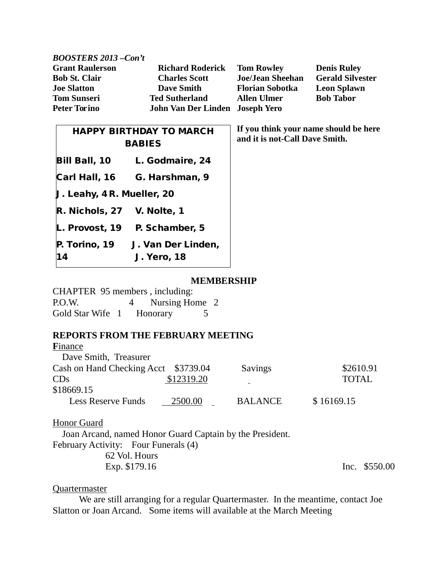| <b>BOOSTERS 2013 -Con't</b>    |                                 |                                                                         |                         |
|--------------------------------|---------------------------------|-------------------------------------------------------------------------|-------------------------|
| <b>Grant Raulerson</b>         | <b>Richard Roderick</b>         | <b>Tom Rowley</b>                                                       | <b>Denis Ruley</b>      |
| <b>Bob St. Clair</b>           | <b>Charles Scott</b>            | <b>Joe/Jean Sheehan</b>                                                 | <b>Gerald Silvester</b> |
| <b>Joe Slatton</b>             | <b>Dave Smith</b>               | <b>Florian Sobotka</b>                                                  | <b>Leon Splawn</b>      |
| <b>Tom Sunseri</b>             | <b>Ted Sutherland</b>           | <b>Allen Ulmer</b>                                                      | <b>Bob Tabor</b>        |
| <b>Peter Torino</b>            | John Van Der Linden Joseph Yero |                                                                         |                         |
| <b>HAPPY BIRTHDAY TO MARCH</b> |                                 | If you think your name should be here<br>and it is not-Call Dave Smith. |                         |
| RARIFA                         |                                 |                                                                         |                         |

CHAPTER 95 members , including: P.O.W. 4 Nursing Home 2 Gold Star Wife 1 Honorary 5

**BABIES** 

Bill Ball, 10 L. Godmaire, 24

Carl Hall, 16 G. Harshman, 9

L. Provost, 19 P. Schamber, 5

P. Torino, 19 J. Van Der Linden,

J. Leahy, 4 R. Mueller, 20

R. Nichols, 27 V. Nolte, 1

14 J. Yero, 18

## **REPORTS FROM THE FEBRUARY MEETING**

| Finance                              |            |                |              |
|--------------------------------------|------------|----------------|--------------|
| Dave Smith, Treasurer                |            |                |              |
| Cash on Hand Checking Acct \$3739.04 |            | Savings        | \$2610.91    |
| CDs                                  | \$12319.20 |                | <b>TOTAL</b> |
| \$18669.15                           |            |                |              |
| <b>Less Reserve Funds</b>            | 2500.00    | <b>BALANCE</b> | \$16169.15   |
|                                      |            |                |              |

## Honor Guard

 Joan Arcand, named Honor Guard Captain by the President. February Activity: Four Funerals (4) 62 Vol. Hours Exp. \$179.16 Inc. \$550.00

### Quartermaster

We are still arranging for a regular Quartermaster. In the meantime, contact Joe Slatton or Joan Arcand. Some items will available at the March Meeting